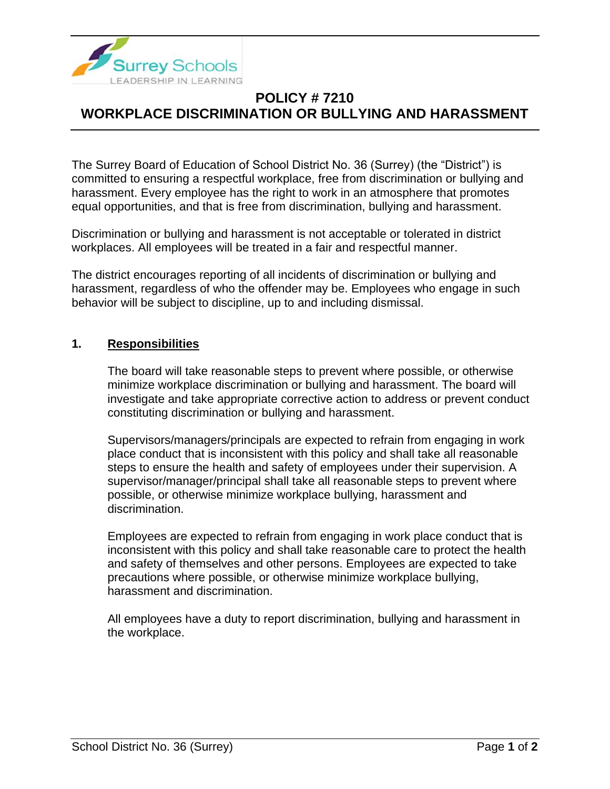

## **POLICY # 7210 WORKPLACE DISCRIMINATION OR BULLYING AND HARASSMENT**

The Surrey Board of Education of School District No. 36 (Surrey) (the "District") is committed to ensuring a respectful workplace, free from discrimination or bullying and harassment. Every employee has the right to work in an atmosphere that promotes equal opportunities, and that is free from discrimination, bullying and harassment.

Discrimination or bullying and harassment is not acceptable or tolerated in district workplaces. All employees will be treated in a fair and respectful manner.

The district encourages reporting of all incidents of discrimination or bullying and harassment, regardless of who the offender may be. Employees who engage in such behavior will be subject to discipline, up to and including dismissal.

## **1. Responsibilities**

The board will take reasonable steps to prevent where possible, or otherwise minimize workplace discrimination or bullying and harassment. The board will investigate and take appropriate corrective action to address or prevent conduct constituting discrimination or bullying and harassment.

Supervisors/managers/principals are expected to refrain from engaging in work place conduct that is inconsistent with this policy and shall take all reasonable steps to ensure the health and safety of employees under their supervision. A supervisor/manager/principal shall take all reasonable steps to prevent where possible, or otherwise minimize workplace bullying, harassment and discrimination.

Employees are expected to refrain from engaging in work place conduct that is inconsistent with this policy and shall take reasonable care to protect the health and safety of themselves and other persons. Employees are expected to take precautions where possible, or otherwise minimize workplace bullying, harassment and discrimination.

All employees have a duty to report discrimination, bullying and harassment in the workplace.